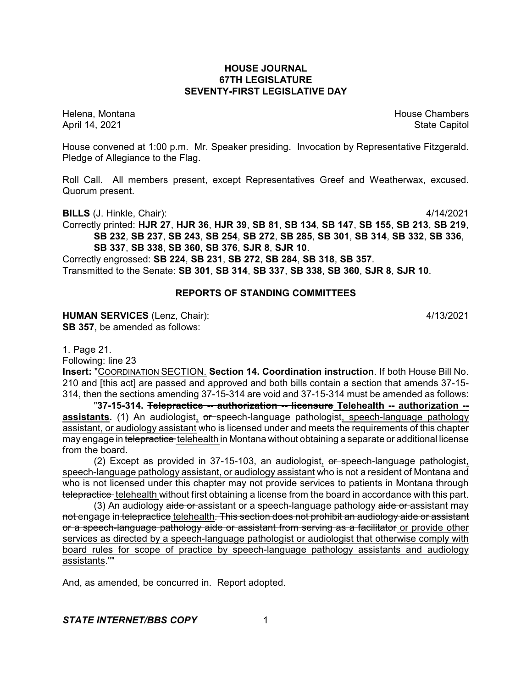### **HOUSE JOURNAL 67TH LEGISLATURE SEVENTY-FIRST LEGISLATIVE DAY**

Helena, Montana House Chambers Chambers Chambers and House Chambers Chambers Chambers Chambers Chambers Chambers Chambers Chambers Chambers Chambers Chambers Chambers Chambers Chambers Chambers Chambers Chambers Chambers C April 14, 2021 State Capitol

House convened at 1:00 p.m. Mr. Speaker presiding. Invocation by Representative Fitzgerald. Pledge of Allegiance to the Flag.

Roll Call. All members present, except Representatives Greef and Weatherwax, excused. Quorum present.

**BILLS** (J. Hinkle, Chair): 4/14/2021

Correctly printed: **HJR 27**, **HJR 36**, **HJR 39**, **SB 81**, **SB 134**, **SB 147**, **SB 155**, **SB 213**, **SB 219**, **SB 232**, **SB 237**, **SB 243**, **SB 254**, **SB 272**, **SB 285**, **SB 301**, **SB 314**, **SB 332**, **SB 336**, **SB 337**, **SB 338**, **SB 360**, **SB 376**, **SJR 8**, **SJR 10**.

Correctly engrossed: **SB 224**, **SB 231**, **SB 272**, **SB 284**, **SB 318**, **SB 357**. Transmitted to the Senate: **SB 301**, **SB 314**, **SB 337**, **SB 338**, **SB 360**, **SJR 8**, **SJR 10**.

### **REPORTS OF STANDING COMMITTEES**

**HUMAN SERVICES** (Lenz, Chair): 4/13/2021 **SB 357**, be amended as follows:

1. Page 21.

Following: line 23

**Insert:** "COORDINATION SECTION. **Section 14. Coordination instruction**. If both House Bill No. 210 and [this act] are passed and approved and both bills contain a section that amends 37-15- 314, then the sections amending 37-15-314 are void and 37-15-314 must be amended as follows:

"**37-15-314. Telepractice -- authorization -- licensure Telehealth -- authorization - assistants.** (1) An audiologist, or speech-language pathologist, speech-language pathology assistant, or audiology assistant who is licensed under and meets the requirements of this chapter may engage in telepractice telehealth in Montana without obtaining a separate or additional license from the board.

(2) Except as provided in  $37-15-103$ , an audiologist, or speech-language pathologist, speech-language pathology assistant, or audiology assistant who is not a resident of Montana and who is not licensed under this chapter may not provide services to patients in Montana through telepractice telehealth without first obtaining a license from the board in accordance with this part.

(3) An audiology aide or assistant or a speech-language pathology aide or assistant may not engage in telepractice telehealth. This section does not prohibit an audiology aide or assistant or a speech-language pathology aide or assistant from serving as a facilitator or provide other services as directed by a speech-language pathologist or audiologist that otherwise comply with board rules for scope of practice by speech-language pathology assistants and audiology assistants.""

And, as amended, be concurred in. Report adopted.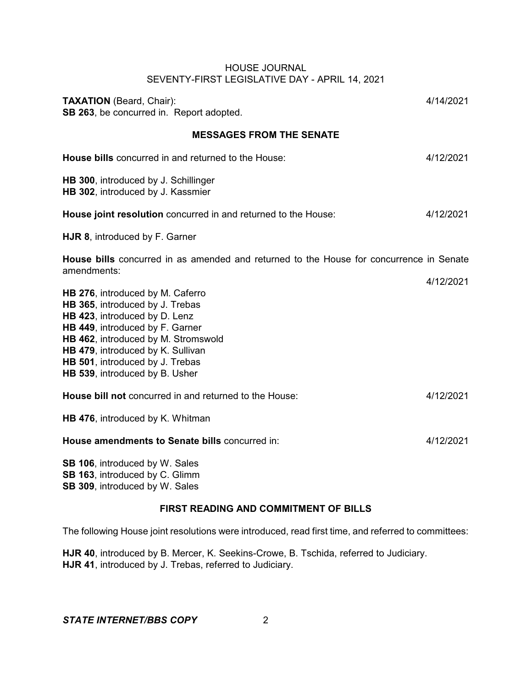| <b>TAXATION</b> (Beard, Chair):<br>SB 263, be concurred in. Report adopted.                                                                                                                                                                                                              | 4/14/2021 |
|------------------------------------------------------------------------------------------------------------------------------------------------------------------------------------------------------------------------------------------------------------------------------------------|-----------|
| <b>MESSAGES FROM THE SENATE</b>                                                                                                                                                                                                                                                          |           |
| House bills concurred in and returned to the House:                                                                                                                                                                                                                                      | 4/12/2021 |
| HB 300, introduced by J. Schillinger<br>HB 302, introduced by J. Kassmier                                                                                                                                                                                                                |           |
| House joint resolution concurred in and returned to the House:                                                                                                                                                                                                                           | 4/12/2021 |
| HJR 8, introduced by F. Garner                                                                                                                                                                                                                                                           |           |
| <b>House bills</b> concurred in as amended and returned to the House for concurrence in Senate<br>amendments:                                                                                                                                                                            |           |
| HB 276, introduced by M. Caferro<br>HB 365, introduced by J. Trebas<br>HB 423, introduced by D. Lenz<br>HB 449, introduced by F. Garner<br>HB 462, introduced by M. Stromswold<br>HB 479, introduced by K. Sullivan<br>HB 501, introduced by J. Trebas<br>HB 539, introduced by B. Usher | 4/12/2021 |
| House bill not concurred in and returned to the House:                                                                                                                                                                                                                                   | 4/12/2021 |
| HB 476, introduced by K. Whitman                                                                                                                                                                                                                                                         |           |
| House amendments to Senate bills concurred in:                                                                                                                                                                                                                                           | 4/12/2021 |
| SB 106, introduced by W. Sales<br>SB 163, introduced by C. Glimm<br>SB 309, introduced by W. Sales                                                                                                                                                                                       |           |

# **FIRST READING AND COMMITMENT OF BILLS**

The following House joint resolutions were introduced, read first time, and referred to committees:

**HJR 40**, introduced by B. Mercer, K. Seekins-Crowe, B. Tschida, referred to Judiciary. **HJR 41**, introduced by J. Trebas, referred to Judiciary.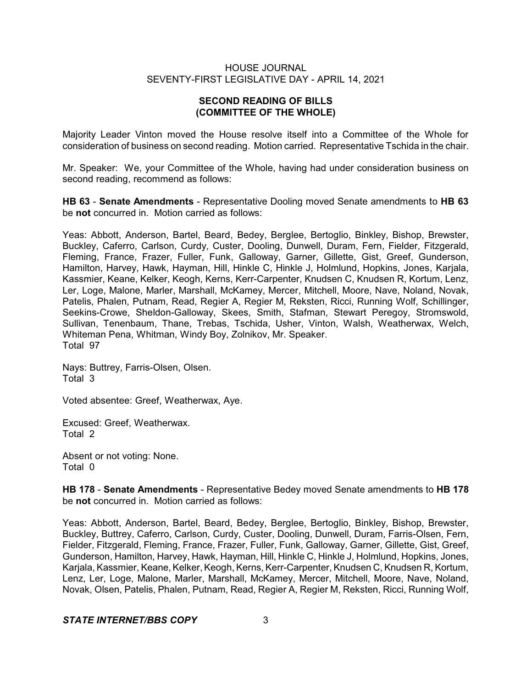# **SECOND READING OF BILLS (COMMITTEE OF THE WHOLE)**

Majority Leader Vinton moved the House resolve itself into a Committee of the Whole for consideration of business on second reading. Motion carried. Representative Tschida in the chair.

Mr. Speaker: We, your Committee of the Whole, having had under consideration business on second reading, recommend as follows:

**HB 63** - **Senate Amendments** - Representative Dooling moved Senate amendments to **HB 63** be **not** concurred in. Motion carried as follows:

Yeas: Abbott, Anderson, Bartel, Beard, Bedey, Berglee, Bertoglio, Binkley, Bishop, Brewster, Buckley, Caferro, Carlson, Curdy, Custer, Dooling, Dunwell, Duram, Fern, Fielder, Fitzgerald, Fleming, France, Frazer, Fuller, Funk, Galloway, Garner, Gillette, Gist, Greef, Gunderson, Hamilton, Harvey, Hawk, Hayman, Hill, Hinkle C, Hinkle J, Holmlund, Hopkins, Jones, Karjala, Kassmier, Keane, Kelker, Keogh, Kerns, Kerr-Carpenter, Knudsen C, Knudsen R, Kortum, Lenz, Ler, Loge, Malone, Marler, Marshall, McKamey, Mercer, Mitchell, Moore, Nave, Noland, Novak, Patelis, Phalen, Putnam, Read, Regier A, Regier M, Reksten, Ricci, Running Wolf, Schillinger, Seekins-Crowe, Sheldon-Galloway, Skees, Smith, Stafman, Stewart Peregoy, Stromswold, Sullivan, Tenenbaum, Thane, Trebas, Tschida, Usher, Vinton, Walsh, Weatherwax, Welch, Whiteman Pena, Whitman, Windy Boy, Zolnikov, Mr. Speaker. Total 97

Nays: Buttrey, Farris-Olsen, Olsen. Total 3

Voted absentee: Greef, Weatherwax, Aye.

Excused: Greef, Weatherwax. Total 2

Absent or not voting: None. Total 0

**HB 178** - **Senate Amendments** - Representative Bedey moved Senate amendments to **HB 178** be **not** concurred in. Motion carried as follows:

Yeas: Abbott, Anderson, Bartel, Beard, Bedey, Berglee, Bertoglio, Binkley, Bishop, Brewster, Buckley, Buttrey, Caferro, Carlson, Curdy, Custer, Dooling, Dunwell, Duram, Farris-Olsen, Fern, Fielder, Fitzgerald, Fleming, France, Frazer, Fuller, Funk, Galloway, Garner, Gillette, Gist, Greef, Gunderson, Hamilton, Harvey, Hawk, Hayman, Hill, Hinkle C, Hinkle J, Holmlund, Hopkins, Jones, Karjala, Kassmier, Keane, Kelker, Keogh, Kerns, Kerr-Carpenter, Knudsen C, Knudsen R, Kortum, Lenz, Ler, Loge, Malone, Marler, Marshall, McKamey, Mercer, Mitchell, Moore, Nave, Noland, Novak, Olsen, Patelis, Phalen, Putnam, Read, Regier A, Regier M, Reksten, Ricci, Running Wolf,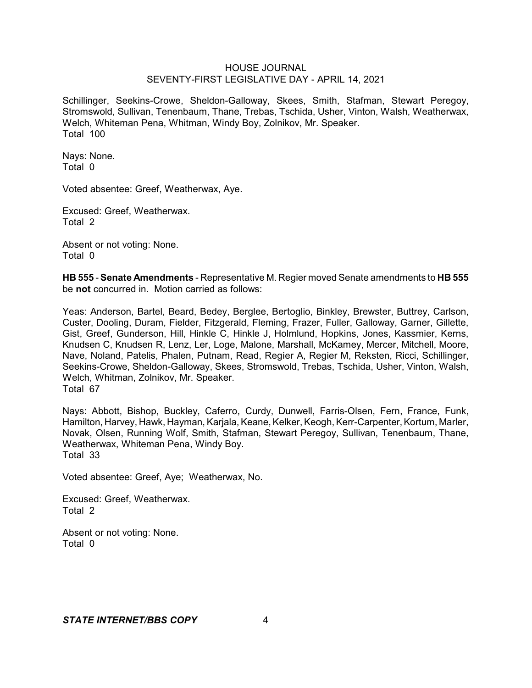Schillinger, Seekins-Crowe, Sheldon-Galloway, Skees, Smith, Stafman, Stewart Peregoy, Stromswold, Sullivan, Tenenbaum, Thane, Trebas, Tschida, Usher, Vinton, Walsh, Weatherwax, Welch, Whiteman Pena, Whitman, Windy Boy, Zolnikov, Mr. Speaker. Total 100

Nays: None. Total 0

Voted absentee: Greef, Weatherwax, Aye.

Excused: Greef, Weatherwax. Total 2

Absent or not voting: None. Total 0

**HB 555** - **Senate Amendments** - Representative M. Regier moved Senate amendments to **HB 555** be **not** concurred in. Motion carried as follows:

Yeas: Anderson, Bartel, Beard, Bedey, Berglee, Bertoglio, Binkley, Brewster, Buttrey, Carlson, Custer, Dooling, Duram, Fielder, Fitzgerald, Fleming, Frazer, Fuller, Galloway, Garner, Gillette, Gist, Greef, Gunderson, Hill, Hinkle C, Hinkle J, Holmlund, Hopkins, Jones, Kassmier, Kerns, Knudsen C, Knudsen R, Lenz, Ler, Loge, Malone, Marshall, McKamey, Mercer, Mitchell, Moore, Nave, Noland, Patelis, Phalen, Putnam, Read, Regier A, Regier M, Reksten, Ricci, Schillinger, Seekins-Crowe, Sheldon-Galloway, Skees, Stromswold, Trebas, Tschida, Usher, Vinton, Walsh, Welch, Whitman, Zolnikov, Mr. Speaker. Total 67

Nays: Abbott, Bishop, Buckley, Caferro, Curdy, Dunwell, Farris-Olsen, Fern, France, Funk, Hamilton, Harvey, Hawk, Hayman, Karjala, Keane, Kelker, Keogh, Kerr-Carpenter, Kortum, Marler, Novak, Olsen, Running Wolf, Smith, Stafman, Stewart Peregoy, Sullivan, Tenenbaum, Thane, Weatherwax, Whiteman Pena, Windy Boy. Total 33

Voted absentee: Greef, Aye; Weatherwax, No.

Excused: Greef, Weatherwax. Total 2

Absent or not voting: None. Total 0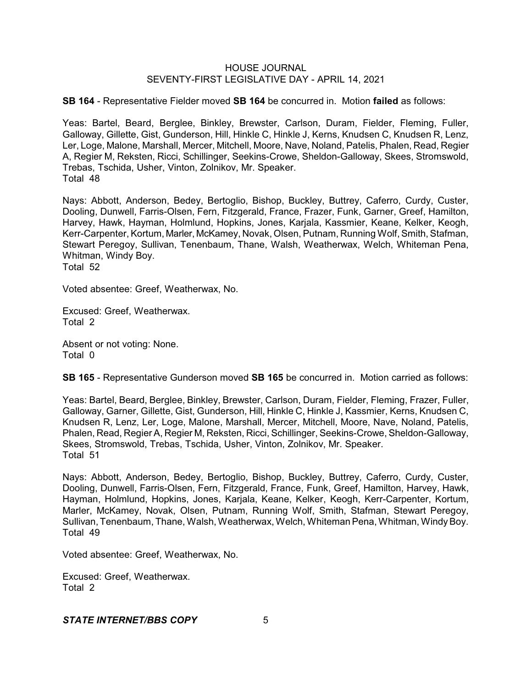**SB 164** - Representative Fielder moved **SB 164** be concurred in. Motion **failed** as follows:

Yeas: Bartel, Beard, Berglee, Binkley, Brewster, Carlson, Duram, Fielder, Fleming, Fuller, Galloway, Gillette, Gist, Gunderson, Hill, Hinkle C, Hinkle J, Kerns, Knudsen C, Knudsen R, Lenz, Ler, Loge, Malone, Marshall, Mercer, Mitchell, Moore, Nave, Noland, Patelis, Phalen, Read, Regier A, Regier M, Reksten, Ricci, Schillinger, Seekins-Crowe, Sheldon-Galloway, Skees, Stromswold, Trebas, Tschida, Usher, Vinton, Zolnikov, Mr. Speaker. Total 48

Nays: Abbott, Anderson, Bedey, Bertoglio, Bishop, Buckley, Buttrey, Caferro, Curdy, Custer, Dooling, Dunwell, Farris-Olsen, Fern, Fitzgerald, France, Frazer, Funk, Garner, Greef, Hamilton, Harvey, Hawk, Hayman, Holmlund, Hopkins, Jones, Karjala, Kassmier, Keane, Kelker, Keogh, Kerr-Carpenter, Kortum, Marler, McKamey, Novak, Olsen, Putnam, Running Wolf, Smith, Stafman, Stewart Peregoy, Sullivan, Tenenbaum, Thane, Walsh, Weatherwax, Welch, Whiteman Pena, Whitman, Windy Boy. Total 52

Voted absentee: Greef, Weatherwax, No.

Excused: Greef, Weatherwax. Total 2

Absent or not voting: None. Total 0

**SB 165** - Representative Gunderson moved **SB 165** be concurred in. Motion carried as follows:

Yeas: Bartel, Beard, Berglee, Binkley, Brewster, Carlson, Duram, Fielder, Fleming, Frazer, Fuller, Galloway, Garner, Gillette, Gist, Gunderson, Hill, Hinkle C, Hinkle J, Kassmier, Kerns, Knudsen C, Knudsen R, Lenz, Ler, Loge, Malone, Marshall, Mercer, Mitchell, Moore, Nave, Noland, Patelis, Phalen, Read, Regier A, Regier M, Reksten, Ricci, Schillinger, Seekins-Crowe, Sheldon-Galloway, Skees, Stromswold, Trebas, Tschida, Usher, Vinton, Zolnikov, Mr. Speaker. Total 51

Nays: Abbott, Anderson, Bedey, Bertoglio, Bishop, Buckley, Buttrey, Caferro, Curdy, Custer, Dooling, Dunwell, Farris-Olsen, Fern, Fitzgerald, France, Funk, Greef, Hamilton, Harvey, Hawk, Hayman, Holmlund, Hopkins, Jones, Karjala, Keane, Kelker, Keogh, Kerr-Carpenter, Kortum, Marler, McKamey, Novak, Olsen, Putnam, Running Wolf, Smith, Stafman, Stewart Peregoy, Sullivan, Tenenbaum, Thane, Walsh, Weatherwax, Welch, Whiteman Pena, Whitman, Windy Boy. Total 49

Voted absentee: Greef, Weatherwax, No.

Excused: Greef, Weatherwax. Total 2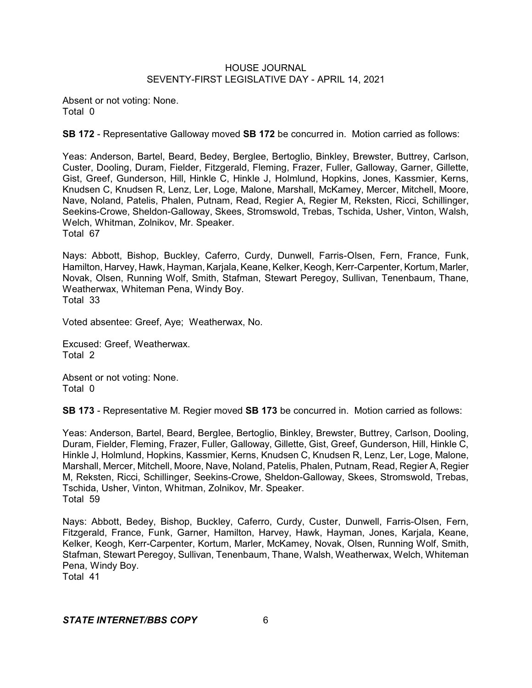Absent or not voting: None. Total 0

**SB 172** - Representative Galloway moved **SB 172** be concurred in. Motion carried as follows:

Yeas: Anderson, Bartel, Beard, Bedey, Berglee, Bertoglio, Binkley, Brewster, Buttrey, Carlson, Custer, Dooling, Duram, Fielder, Fitzgerald, Fleming, Frazer, Fuller, Galloway, Garner, Gillette, Gist, Greef, Gunderson, Hill, Hinkle C, Hinkle J, Holmlund, Hopkins, Jones, Kassmier, Kerns, Knudsen C, Knudsen R, Lenz, Ler, Loge, Malone, Marshall, McKamey, Mercer, Mitchell, Moore, Nave, Noland, Patelis, Phalen, Putnam, Read, Regier A, Regier M, Reksten, Ricci, Schillinger, Seekins-Crowe, Sheldon-Galloway, Skees, Stromswold, Trebas, Tschida, Usher, Vinton, Walsh, Welch, Whitman, Zolnikov, Mr. Speaker. Total 67

Nays: Abbott, Bishop, Buckley, Caferro, Curdy, Dunwell, Farris-Olsen, Fern, France, Funk, Hamilton, Harvey, Hawk, Hayman, Karjala, Keane, Kelker, Keogh, Kerr-Carpenter, Kortum, Marler, Novak, Olsen, Running Wolf, Smith, Stafman, Stewart Peregoy, Sullivan, Tenenbaum, Thane, Weatherwax, Whiteman Pena, Windy Boy. Total 33

Voted absentee: Greef, Aye; Weatherwax, No.

Excused: Greef, Weatherwax. Total 2

Absent or not voting: None. Total 0

**SB 173** - Representative M. Regier moved **SB 173** be concurred in. Motion carried as follows:

Yeas: Anderson, Bartel, Beard, Berglee, Bertoglio, Binkley, Brewster, Buttrey, Carlson, Dooling, Duram, Fielder, Fleming, Frazer, Fuller, Galloway, Gillette, Gist, Greef, Gunderson, Hill, Hinkle C, Hinkle J, Holmlund, Hopkins, Kassmier, Kerns, Knudsen C, Knudsen R, Lenz, Ler, Loge, Malone, Marshall, Mercer, Mitchell, Moore, Nave, Noland, Patelis, Phalen, Putnam, Read, Regier A, Regier M, Reksten, Ricci, Schillinger, Seekins-Crowe, Sheldon-Galloway, Skees, Stromswold, Trebas, Tschida, Usher, Vinton, Whitman, Zolnikov, Mr. Speaker. Total 59

Nays: Abbott, Bedey, Bishop, Buckley, Caferro, Curdy, Custer, Dunwell, Farris-Olsen, Fern, Fitzgerald, France, Funk, Garner, Hamilton, Harvey, Hawk, Hayman, Jones, Karjala, Keane, Kelker, Keogh, Kerr-Carpenter, Kortum, Marler, McKamey, Novak, Olsen, Running Wolf, Smith, Stafman, Stewart Peregoy, Sullivan, Tenenbaum, Thane, Walsh, Weatherwax, Welch, Whiteman Pena, Windy Boy. Total 41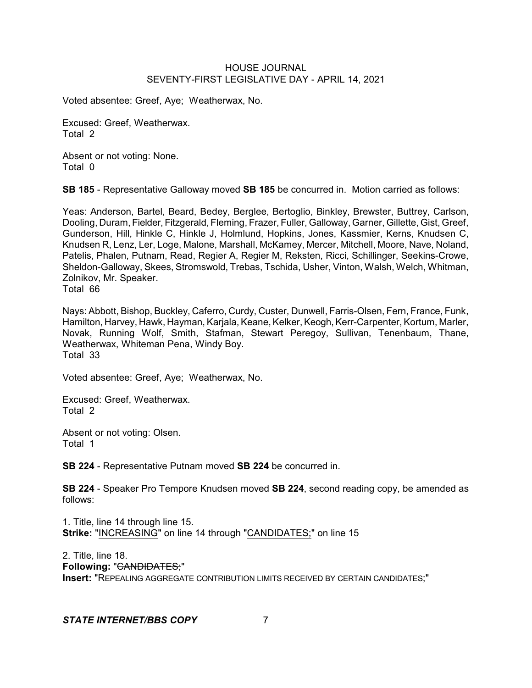Voted absentee: Greef, Aye; Weatherwax, No.

Excused: Greef, Weatherwax. Total 2

Absent or not voting: None. Total 0

**SB 185** - Representative Galloway moved **SB 185** be concurred in. Motion carried as follows:

Yeas: Anderson, Bartel, Beard, Bedey, Berglee, Bertoglio, Binkley, Brewster, Buttrey, Carlson, Dooling, Duram, Fielder, Fitzgerald, Fleming, Frazer, Fuller, Galloway, Garner, Gillette, Gist, Greef, Gunderson, Hill, Hinkle C, Hinkle J, Holmlund, Hopkins, Jones, Kassmier, Kerns, Knudsen C, Knudsen R, Lenz, Ler, Loge, Malone, Marshall, McKamey, Mercer, Mitchell, Moore, Nave, Noland, Patelis, Phalen, Putnam, Read, Regier A, Regier M, Reksten, Ricci, Schillinger, Seekins-Crowe, Sheldon-Galloway, Skees, Stromswold, Trebas, Tschida, Usher, Vinton, Walsh, Welch, Whitman, Zolnikov, Mr. Speaker.

Total 66

Nays: Abbott, Bishop, Buckley, Caferro, Curdy, Custer, Dunwell, Farris-Olsen, Fern, France, Funk, Hamilton, Harvey, Hawk, Hayman, Karjala, Keane, Kelker, Keogh, Kerr-Carpenter, Kortum, Marler, Novak, Running Wolf, Smith, Stafman, Stewart Peregoy, Sullivan, Tenenbaum, Thane, Weatherwax, Whiteman Pena, Windy Boy. Total 33

Voted absentee: Greef, Aye; Weatherwax, No.

Excused: Greef, Weatherwax. Total 2

Absent or not voting: Olsen. Total 1

**SB 224** - Representative Putnam moved **SB 224** be concurred in.

**SB 224** - Speaker Pro Tempore Knudsen moved **SB 224**, second reading copy, be amended as follows:

1. Title, line 14 through line 15. **Strike:** "INCREASING" on line 14 through "CANDIDATES;" on line 15

2. Title, line 18. **Following:** "CANDIDATES;" **Insert:** "REPEALING AGGREGATE CONTRIBUTION LIMITS RECEIVED BY CERTAIN CANDIDATES;"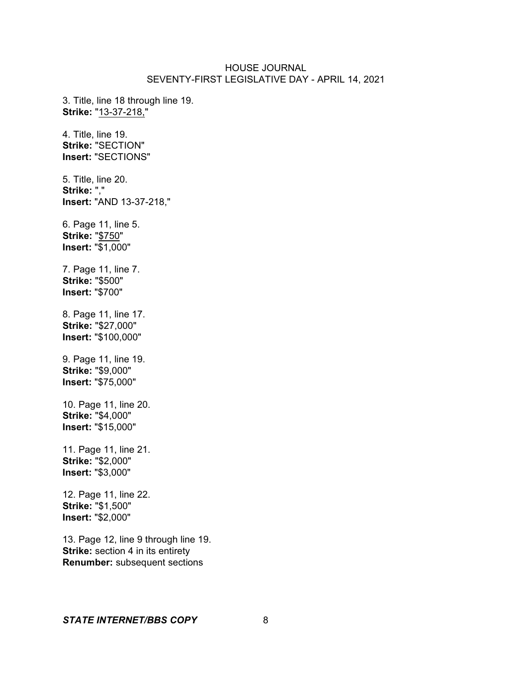3. Title, line 18 through line 19. **Strike:** "13-37-218," 4. Title, line 19. **Strike:** "SECTION" **Insert:** "SECTIONS" 5. Title, line 20.

**Strike:** "," **Insert:** "AND 13-37-218,"

6. Page 11, line 5. **Strike:** "\$750" **Insert:** "\$1,000"

7. Page 11, line 7. **Strike:** "\$500" **Insert:** "\$700"

8. Page 11, line 17. **Strike:** "\$27,000" **Insert:** "\$100,000"

9. Page 11, line 19. **Strike:** "\$9,000" **Insert:** "\$75,000"

10. Page 11, line 20. **Strike:** "\$4,000" **Insert:** "\$15,000"

11. Page 11, line 21. **Strike:** "\$2,000" **Insert:** "\$3,000"

12. Page 11, line 22. **Strike:** "\$1,500" **Insert:** "\$2,000"

13. Page 12, line 9 through line 19. **Strike:** section 4 in its entirety **Renumber:** subsequent sections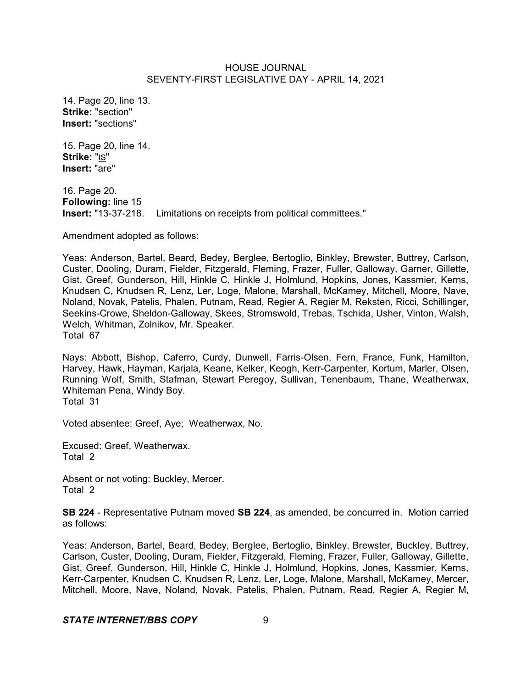14. Page 20, line 13. **Strike:** "section" **Insert:** "sections"

15. Page 20, line 14. **Strike:** "IS" **Insert:** "are"

16. Page 20. **Following:** line 15 **Insert:** "13-37-218. Limitations on receipts from political committees."

Amendment adopted as follows:

Yeas: Anderson, Bartel, Beard, Bedey, Berglee, Bertoglio, Binkley, Brewster, Buttrey, Carlson, Custer, Dooling, Duram, Fielder, Fitzgerald, Fleming, Frazer, Fuller, Galloway, Garner, Gillette, Gist, Greef, Gunderson, Hill, Hinkle C, Hinkle J, Holmlund, Hopkins, Jones, Kassmier, Kerns, Knudsen C, Knudsen R, Lenz, Ler, Loge, Malone, Marshall, McKamey, Mitchell, Moore, Nave, Noland, Novak, Patelis, Phalen, Putnam, Read, Regier A, Regier M, Reksten, Ricci, Schillinger, Seekins-Crowe, Sheldon-Galloway, Skees, Stromswold, Trebas, Tschida, Usher, Vinton, Walsh, Welch, Whitman, Zolnikov, Mr. Speaker. Total 67

Nays: Abbott, Bishop, Caferro, Curdy, Dunwell, Farris-Olsen, Fern, France, Funk, Hamilton, Harvey, Hawk, Hayman, Karjala, Keane, Kelker, Keogh, Kerr-Carpenter, Kortum, Marler, Olsen, Running Wolf, Smith, Stafman, Stewart Peregoy, Sullivan, Tenenbaum, Thane, Weatherwax, Whiteman Pena, Windy Boy. Total 31

Voted absentee: Greef, Aye; Weatherwax, No.

Excused: Greef, Weatherwax. Total 2

Absent or not voting: Buckley, Mercer. Total 2

**SB 224** - Representative Putnam moved **SB 224**, as amended, be concurred in. Motion carried as follows:

Yeas: Anderson, Bartel, Beard, Bedey, Berglee, Bertoglio, Binkley, Brewster, Buckley, Buttrey, Carlson, Custer, Dooling, Duram, Fielder, Fitzgerald, Fleming, Frazer, Fuller, Galloway, Gillette, Gist, Greef, Gunderson, Hill, Hinkle C, Hinkle J, Holmlund, Hopkins, Jones, Kassmier, Kerns, Kerr-Carpenter, Knudsen C, Knudsen R, Lenz, Ler, Loge, Malone, Marshall, McKamey, Mercer, Mitchell, Moore, Nave, Noland, Novak, Patelis, Phalen, Putnam, Read, Regier A, Regier M,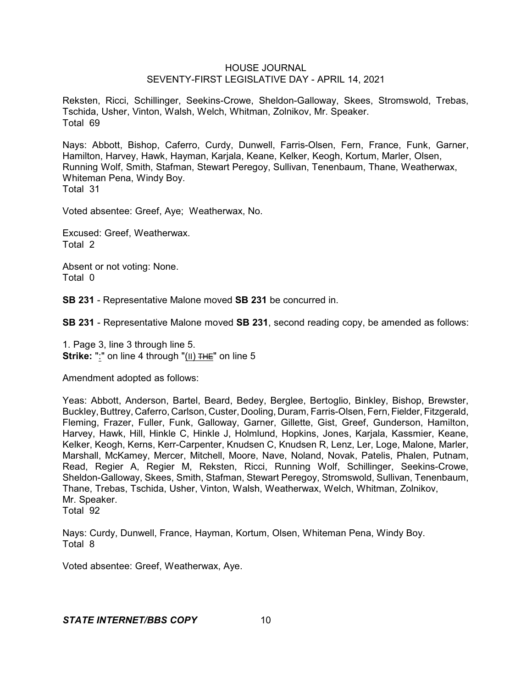Reksten, Ricci, Schillinger, Seekins-Crowe, Sheldon-Galloway, Skees, Stromswold, Trebas, Tschida, Usher, Vinton, Walsh, Welch, Whitman, Zolnikov, Mr. Speaker. Total 69

Nays: Abbott, Bishop, Caferro, Curdy, Dunwell, Farris-Olsen, Fern, France, Funk, Garner, Hamilton, Harvey, Hawk, Hayman, Karjala, Keane, Kelker, Keogh, Kortum, Marler, Olsen, Running Wolf, Smith, Stafman, Stewart Peregoy, Sullivan, Tenenbaum, Thane, Weatherwax, Whiteman Pena, Windy Boy. Total 31

Voted absentee: Greef, Aye; Weatherwax, No.

Excused: Greef, Weatherwax. Total 2

Absent or not voting: None. Total 0

**SB 231** - Representative Malone moved **SB 231** be concurred in.

**SB 231** - Representative Malone moved **SB 231**, second reading copy, be amended as follows:

1. Page 3, line 3 through line 5. **Strike:** ":" on line 4 through "(II) THE" on line 5

Amendment adopted as follows:

Yeas: Abbott, Anderson, Bartel, Beard, Bedey, Berglee, Bertoglio, Binkley, Bishop, Brewster, Buckley, Buttrey, Caferro, Carlson, Custer, Dooling, Duram, Farris-Olsen, Fern, Fielder, Fitzgerald, Fleming, Frazer, Fuller, Funk, Galloway, Garner, Gillette, Gist, Greef, Gunderson, Hamilton, Harvey, Hawk, Hill, Hinkle C, Hinkle J, Holmlund, Hopkins, Jones, Karjala, Kassmier, Keane, Kelker, Keogh, Kerns, Kerr-Carpenter, Knudsen C, Knudsen R, Lenz, Ler, Loge, Malone, Marler, Marshall, McKamey, Mercer, Mitchell, Moore, Nave, Noland, Novak, Patelis, Phalen, Putnam, Read, Regier A, Regier M, Reksten, Ricci, Running Wolf, Schillinger, Seekins-Crowe, Sheldon-Galloway, Skees, Smith, Stafman, Stewart Peregoy, Stromswold, Sullivan, Tenenbaum, Thane, Trebas, Tschida, Usher, Vinton, Walsh, Weatherwax, Welch, Whitman, Zolnikov, Mr. Speaker. Total 92

Nays: Curdy, Dunwell, France, Hayman, Kortum, Olsen, Whiteman Pena, Windy Boy. Total 8

Voted absentee: Greef, Weatherwax, Aye.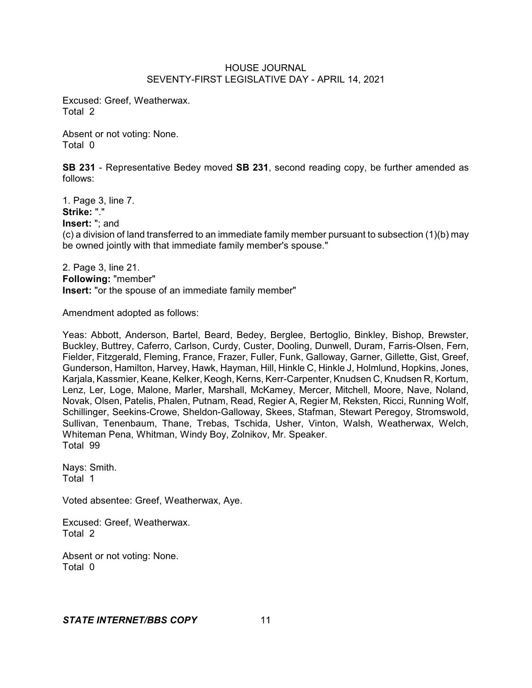Excused: Greef, Weatherwax. Total 2

Absent or not voting: None. Total 0

**SB 231** - Representative Bedey moved **SB 231**, second reading copy, be further amended as follows:

1. Page 3, line 7. **Strike:** "." **Insert:** "; and (c) a division of land transferred to an immediate family member pursuant to subsection (1)(b) may be owned jointly with that immediate family member's spouse."

2. Page 3, line 21. **Following:** "member" **Insert:** "or the spouse of an immediate family member"

Amendment adopted as follows:

Yeas: Abbott, Anderson, Bartel, Beard, Bedey, Berglee, Bertoglio, Binkley, Bishop, Brewster, Buckley, Buttrey, Caferro, Carlson, Curdy, Custer, Dooling, Dunwell, Duram, Farris-Olsen, Fern, Fielder, Fitzgerald, Fleming, France, Frazer, Fuller, Funk, Galloway, Garner, Gillette, Gist, Greef, Gunderson, Hamilton, Harvey, Hawk, Hayman, Hill, Hinkle C, Hinkle J, Holmlund, Hopkins, Jones, Karjala, Kassmier, Keane, Kelker, Keogh, Kerns, Kerr-Carpenter, Knudsen C, Knudsen R, Kortum, Lenz, Ler, Loge, Malone, Marler, Marshall, McKamey, Mercer, Mitchell, Moore, Nave, Noland, Novak, Olsen, Patelis, Phalen, Putnam, Read, Regier A, Regier M, Reksten, Ricci, Running Wolf, Schillinger, Seekins-Crowe, Sheldon-Galloway, Skees, Stafman, Stewart Peregoy, Stromswold, Sullivan, Tenenbaum, Thane, Trebas, Tschida, Usher, Vinton, Walsh, Weatherwax, Welch, Whiteman Pena, Whitman, Windy Boy, Zolnikov, Mr. Speaker. Total 99

Nays: Smith. Total 1

Voted absentee: Greef, Weatherwax, Aye.

Excused: Greef, Weatherwax. Total 2

Absent or not voting: None. Total 0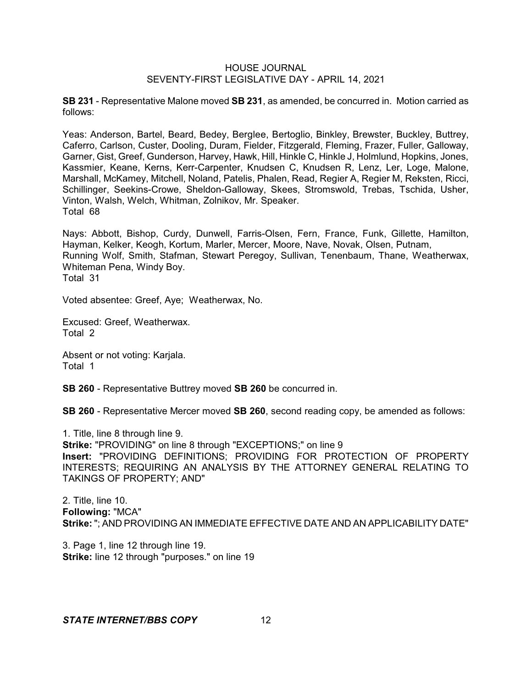**SB 231** - Representative Malone moved **SB 231**, as amended, be concurred in. Motion carried as follows:

Yeas: Anderson, Bartel, Beard, Bedey, Berglee, Bertoglio, Binkley, Brewster, Buckley, Buttrey, Caferro, Carlson, Custer, Dooling, Duram, Fielder, Fitzgerald, Fleming, Frazer, Fuller, Galloway, Garner, Gist, Greef, Gunderson, Harvey, Hawk, Hill, Hinkle C, Hinkle J, Holmlund, Hopkins, Jones, Kassmier, Keane, Kerns, Kerr-Carpenter, Knudsen C, Knudsen R, Lenz, Ler, Loge, Malone, Marshall, McKamey, Mitchell, Noland, Patelis, Phalen, Read, Regier A, Regier M, Reksten, Ricci, Schillinger, Seekins-Crowe, Sheldon-Galloway, Skees, Stromswold, Trebas, Tschida, Usher, Vinton, Walsh, Welch, Whitman, Zolnikov, Mr. Speaker. Total 68

Nays: Abbott, Bishop, Curdy, Dunwell, Farris-Olsen, Fern, France, Funk, Gillette, Hamilton, Hayman, Kelker, Keogh, Kortum, Marler, Mercer, Moore, Nave, Novak, Olsen, Putnam, Running Wolf, Smith, Stafman, Stewart Peregoy, Sullivan, Tenenbaum, Thane, Weatherwax, Whiteman Pena, Windy Boy. Total 31

Voted absentee: Greef, Aye; Weatherwax, No.

Excused: Greef, Weatherwax. Total 2

Absent or not voting: Karjala. Total 1

**SB 260** - Representative Buttrey moved **SB 260** be concurred in.

**SB 260** - Representative Mercer moved **SB 260**, second reading copy, be amended as follows:

1. Title, line 8 through line 9. **Strike:** "PROVIDING" on line 8 through "EXCEPTIONS;" on line 9 **Insert:** "PROVIDING DEFINITIONS; PROVIDING FOR PROTECTION OF PROPERTY INTERESTS; REQUIRING AN ANALYSIS BY THE ATTORNEY GENERAL RELATING TO TAKINGS OF PROPERTY; AND"

2. Title, line 10. **Following:** "MCA" **Strike:** "; AND PROVIDING AN IMMEDIATE EFFECTIVE DATE AND AN APPLICABILITY DATE"

3. Page 1, line 12 through line 19. **Strike:** line 12 through "purposes." on line 19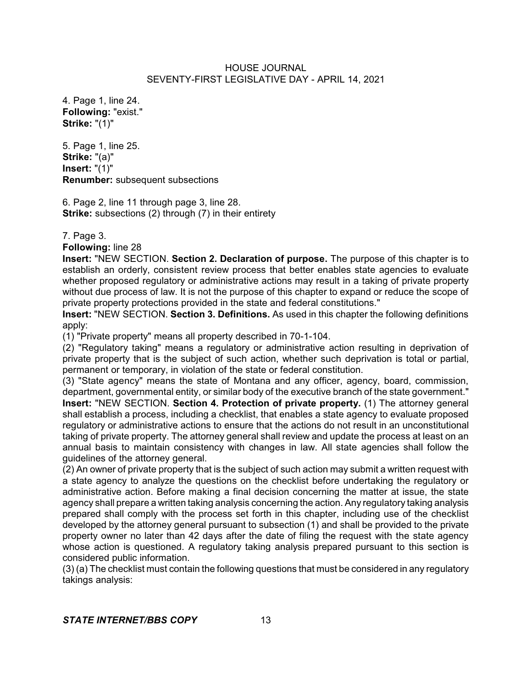4. Page 1, line 24. **Following:** "exist." **Strike:** "(1)"

5. Page 1, line 25. **Strike:** "(a)" **Insert:** "(1)" **Renumber:** subsequent subsections

6. Page 2, line 11 through page 3, line 28. **Strike:** subsections (2) through (7) in their entirety

7. Page 3.

**Following:** line 28

**Insert:** "NEW SECTION. **Section 2. Declaration of purpose.** The purpose of this chapter is to establish an orderly, consistent review process that better enables state agencies to evaluate whether proposed regulatory or administrative actions may result in a taking of private property without due process of law. It is not the purpose of this chapter to expand or reduce the scope of private property protections provided in the state and federal constitutions."

**Insert:** "NEW SECTION. **Section 3. Definitions.** As used in this chapter the following definitions apply:

(1) "Private property" means all property described in 70-1-104.

(2) "Regulatory taking" means a regulatory or administrative action resulting in deprivation of private property that is the subject of such action, whether such deprivation is total or partial, permanent or temporary, in violation of the state or federal constitution.

(3) "State agency" means the state of Montana and any officer, agency, board, commission, department, governmental entity, or similar body of the executive branch of the state government." **Insert:** "NEW SECTION. **Section 4. Protection of private property.** (1) The attorney general shall establish a process, including a checklist, that enables a state agency to evaluate proposed regulatory or administrative actions to ensure that the actions do not result in an unconstitutional taking of private property. The attorney general shall review and update the process at least on an annual basis to maintain consistency with changes in law. All state agencies shall follow the guidelines of the attorney general.

(2) An owner of private property that is the subject of such action may submit a written request with a state agency to analyze the questions on the checklist before undertaking the regulatory or administrative action. Before making a final decision concerning the matter at issue, the state agency shall prepare a written taking analysis concerning the action. Any regulatory taking analysis prepared shall comply with the process set forth in this chapter, including use of the checklist developed by the attorney general pursuant to subsection (1) and shall be provided to the private property owner no later than 42 days after the date of filing the request with the state agency whose action is questioned. A regulatory taking analysis prepared pursuant to this section is considered public information.

(3) (a) The checklist must contain the following questions that must be considered in any regulatory takings analysis: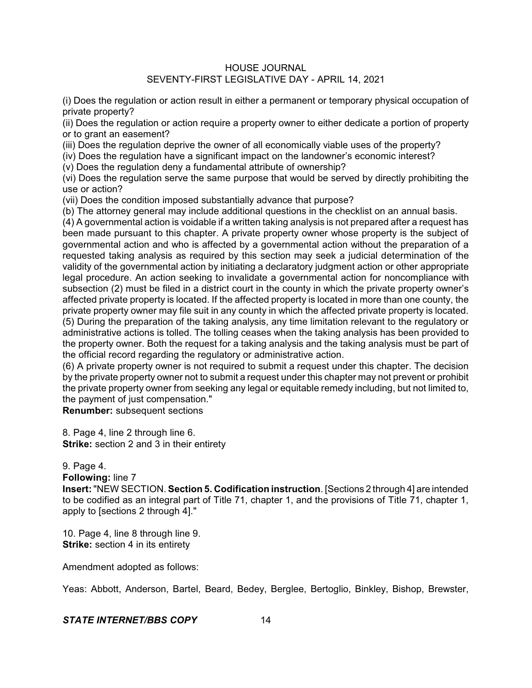(i) Does the regulation or action result in either a permanent or temporary physical occupation of private property?

(ii) Does the regulation or action require a property owner to either dedicate a portion of property or to grant an easement?

(iii) Does the regulation deprive the owner of all economically viable uses of the property?

(iv) Does the regulation have a significant impact on the landowner's economic interest?

(v) Does the regulation deny a fundamental attribute of ownership?

(vi) Does the regulation serve the same purpose that would be served by directly prohibiting the use or action?

(vii) Does the condition imposed substantially advance that purpose?

(b) The attorney general may include additional questions in the checklist on an annual basis.

(4) A governmental action is voidable if a written taking analysis is not prepared after a request has been made pursuant to this chapter. A private property owner whose property is the subject of governmental action and who is affected by a governmental action without the preparation of a requested taking analysis as required by this section may seek a judicial determination of the validity of the governmental action by initiating a declaratory judgment action or other appropriate legal procedure. An action seeking to invalidate a governmental action for noncompliance with subsection (2) must be filed in a district court in the county in which the private property owner's affected private property is located. If the affected property is located in more than one county, the private property owner may file suit in any county in which the affected private property is located. (5) During the preparation of the taking analysis, any time limitation relevant to the regulatory or administrative actions is tolled. The tolling ceases when the taking analysis has been provided to the property owner. Both the request for a taking analysis and the taking analysis must be part of the official record regarding the regulatory or administrative action.

(6) A private property owner is not required to submit a request under this chapter. The decision by the private property owner not to submit a request under this chapter may not prevent or prohibit the private property owner from seeking any legal or equitable remedy including, but not limited to, the payment of just compensation."

**Renumber:** subsequent sections

8. Page 4, line 2 through line 6. **Strike:** section 2 and 3 in their entirety

### 9. Page 4.

**Following:** line 7

**Insert:**"NEW SECTION. **Section 5. Codification instruction**. [Sections 2 through 4] are intended to be codified as an integral part of Title 71, chapter 1, and the provisions of Title 71, chapter 1, apply to [sections 2 through 4]."

10. Page 4, line 8 through line 9. **Strike:** section 4 in its entirety

Amendment adopted as follows:

Yeas: Abbott, Anderson, Bartel, Beard, Bedey, Berglee, Bertoglio, Binkley, Bishop, Brewster,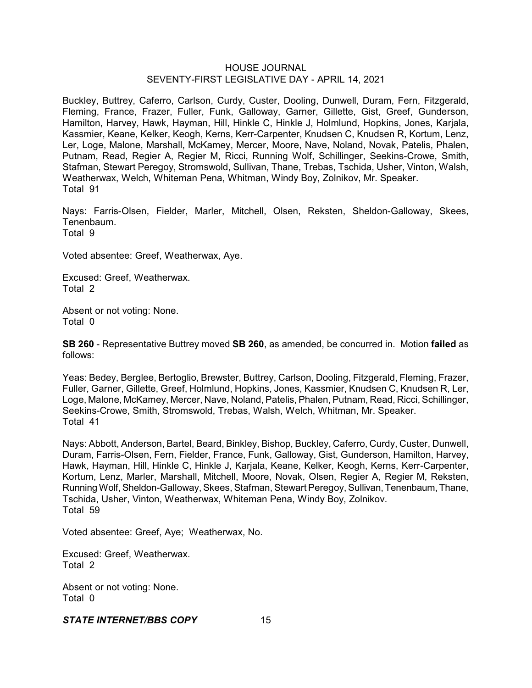Buckley, Buttrey, Caferro, Carlson, Curdy, Custer, Dooling, Dunwell, Duram, Fern, Fitzgerald, Fleming, France, Frazer, Fuller, Funk, Galloway, Garner, Gillette, Gist, Greef, Gunderson, Hamilton, Harvey, Hawk, Hayman, Hill, Hinkle C, Hinkle J, Holmlund, Hopkins, Jones, Karjala, Kassmier, Keane, Kelker, Keogh, Kerns, Kerr-Carpenter, Knudsen C, Knudsen R, Kortum, Lenz, Ler, Loge, Malone, Marshall, McKamey, Mercer, Moore, Nave, Noland, Novak, Patelis, Phalen, Putnam, Read, Regier A, Regier M, Ricci, Running Wolf, Schillinger, Seekins-Crowe, Smith, Stafman, Stewart Peregoy, Stromswold, Sullivan, Thane, Trebas, Tschida, Usher, Vinton, Walsh, Weatherwax, Welch, Whiteman Pena, Whitman, Windy Boy, Zolnikov, Mr. Speaker. Total 91

Nays: Farris-Olsen, Fielder, Marler, Mitchell, Olsen, Reksten, Sheldon-Galloway, Skees, Tenenbaum.

Total 9

Voted absentee: Greef, Weatherwax, Aye.

Excused: Greef, Weatherwax. Total 2

Absent or not voting: None. Total 0

**SB 260** - Representative Buttrey moved **SB 260**, as amended, be concurred in. Motion **failed** as follows:

Yeas: Bedey, Berglee, Bertoglio, Brewster, Buttrey, Carlson, Dooling, Fitzgerald, Fleming, Frazer, Fuller, Garner, Gillette, Greef, Holmlund, Hopkins, Jones, Kassmier, Knudsen C, Knudsen R, Ler, Loge, Malone, McKamey, Mercer, Nave, Noland, Patelis, Phalen, Putnam, Read, Ricci, Schillinger, Seekins-Crowe, Smith, Stromswold, Trebas, Walsh, Welch, Whitman, Mr. Speaker. Total 41

Nays: Abbott, Anderson, Bartel, Beard, Binkley, Bishop, Buckley, Caferro, Curdy, Custer, Dunwell, Duram, Farris-Olsen, Fern, Fielder, France, Funk, Galloway, Gist, Gunderson, Hamilton, Harvey, Hawk, Hayman, Hill, Hinkle C, Hinkle J, Karjala, Keane, Kelker, Keogh, Kerns, Kerr-Carpenter, Kortum, Lenz, Marler, Marshall, Mitchell, Moore, Novak, Olsen, Regier A, Regier M, Reksten, Running Wolf,Sheldon-Galloway, Skees, Stafman, Stewart Peregoy, Sullivan, Tenenbaum, Thane, Tschida, Usher, Vinton, Weatherwax, Whiteman Pena, Windy Boy, Zolnikov. Total 59

Voted absentee: Greef, Aye; Weatherwax, No.

Excused: Greef, Weatherwax. Total 2

Absent or not voting: None. Total 0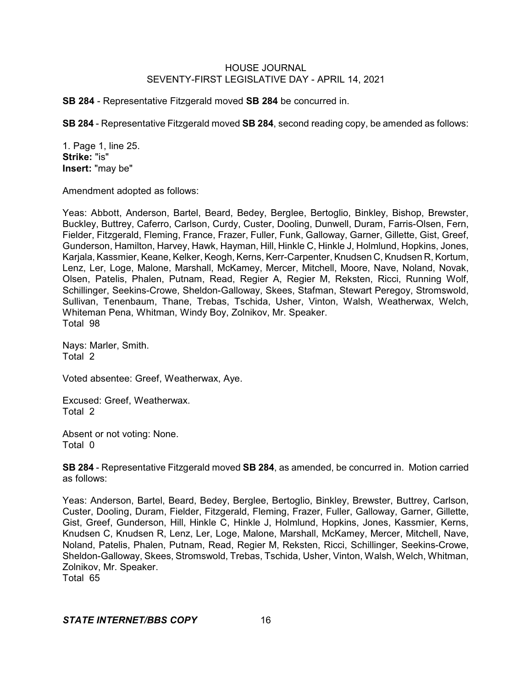**SB 284** - Representative Fitzgerald moved **SB 284** be concurred in.

**SB 284** - Representative Fitzgerald moved **SB 284**, second reading copy, be amended as follows:

1. Page 1, line 25. **Strike:** "is" **Insert:** "may be"

Amendment adopted as follows:

Yeas: Abbott, Anderson, Bartel, Beard, Bedey, Berglee, Bertoglio, Binkley, Bishop, Brewster, Buckley, Buttrey, Caferro, Carlson, Curdy, Custer, Dooling, Dunwell, Duram, Farris-Olsen, Fern, Fielder, Fitzgerald, Fleming, France, Frazer, Fuller, Funk, Galloway, Garner, Gillette, Gist, Greef, Gunderson, Hamilton, Harvey, Hawk, Hayman, Hill, Hinkle C, Hinkle J, Holmlund, Hopkins, Jones, Karjala, Kassmier, Keane, Kelker, Keogh, Kerns, Kerr-Carpenter, Knudsen C, Knudsen R, Kortum, Lenz, Ler, Loge, Malone, Marshall, McKamey, Mercer, Mitchell, Moore, Nave, Noland, Novak, Olsen, Patelis, Phalen, Putnam, Read, Regier A, Regier M, Reksten, Ricci, Running Wolf, Schillinger, Seekins-Crowe, Sheldon-Galloway, Skees, Stafman, Stewart Peregoy, Stromswold, Sullivan, Tenenbaum, Thane, Trebas, Tschida, Usher, Vinton, Walsh, Weatherwax, Welch, Whiteman Pena, Whitman, Windy Boy, Zolnikov, Mr. Speaker. Total 98

Nays: Marler, Smith. Total 2

Voted absentee: Greef, Weatherwax, Aye.

Excused: Greef, Weatherwax. Total 2

Absent or not voting: None. Total 0

**SB 284** - Representative Fitzgerald moved **SB 284**, as amended, be concurred in. Motion carried as follows:

Yeas: Anderson, Bartel, Beard, Bedey, Berglee, Bertoglio, Binkley, Brewster, Buttrey, Carlson, Custer, Dooling, Duram, Fielder, Fitzgerald, Fleming, Frazer, Fuller, Galloway, Garner, Gillette, Gist, Greef, Gunderson, Hill, Hinkle C, Hinkle J, Holmlund, Hopkins, Jones, Kassmier, Kerns, Knudsen C, Knudsen R, Lenz, Ler, Loge, Malone, Marshall, McKamey, Mercer, Mitchell, Nave, Noland, Patelis, Phalen, Putnam, Read, Regier M, Reksten, Ricci, Schillinger, Seekins-Crowe, Sheldon-Galloway, Skees, Stromswold, Trebas, Tschida, Usher, Vinton, Walsh, Welch, Whitman, Zolnikov, Mr. Speaker.

Total 65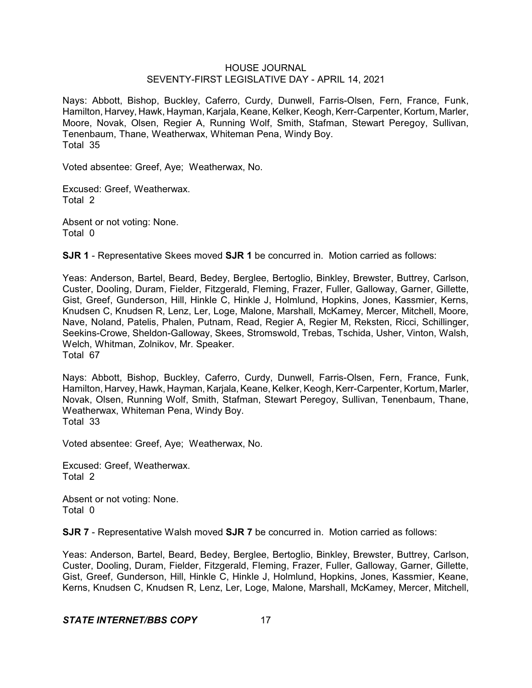Nays: Abbott, Bishop, Buckley, Caferro, Curdy, Dunwell, Farris-Olsen, Fern, France, Funk, Hamilton, Harvey, Hawk, Hayman, Karjala, Keane, Kelker, Keogh, Kerr-Carpenter, Kortum, Marler, Moore, Novak, Olsen, Regier A, Running Wolf, Smith, Stafman, Stewart Peregoy, Sullivan, Tenenbaum, Thane, Weatherwax, Whiteman Pena, Windy Boy. Total 35

Voted absentee: Greef, Aye; Weatherwax, No.

Excused: Greef, Weatherwax. Total 2

Absent or not voting: None. Total 0

**SJR 1** - Representative Skees moved **SJR 1** be concurred in. Motion carried as follows:

Yeas: Anderson, Bartel, Beard, Bedey, Berglee, Bertoglio, Binkley, Brewster, Buttrey, Carlson, Custer, Dooling, Duram, Fielder, Fitzgerald, Fleming, Frazer, Fuller, Galloway, Garner, Gillette, Gist, Greef, Gunderson, Hill, Hinkle C, Hinkle J, Holmlund, Hopkins, Jones, Kassmier, Kerns, Knudsen C, Knudsen R, Lenz, Ler, Loge, Malone, Marshall, McKamey, Mercer, Mitchell, Moore, Nave, Noland, Patelis, Phalen, Putnam, Read, Regier A, Regier M, Reksten, Ricci, Schillinger, Seekins-Crowe, Sheldon-Galloway, Skees, Stromswold, Trebas, Tschida, Usher, Vinton, Walsh, Welch, Whitman, Zolnikov, Mr. Speaker. Total 67

Nays: Abbott, Bishop, Buckley, Caferro, Curdy, Dunwell, Farris-Olsen, Fern, France, Funk, Hamilton, Harvey, Hawk, Hayman, Karjala, Keane, Kelker, Keogh, Kerr-Carpenter, Kortum, Marler, Novak, Olsen, Running Wolf, Smith, Stafman, Stewart Peregoy, Sullivan, Tenenbaum, Thane, Weatherwax, Whiteman Pena, Windy Boy. Total 33

Voted absentee: Greef, Aye; Weatherwax, No.

Excused: Greef, Weatherwax. Total 2

Absent or not voting: None. Total 0

**SJR 7** - Representative Walsh moved **SJR 7** be concurred in. Motion carried as follows:

Yeas: Anderson, Bartel, Beard, Bedey, Berglee, Bertoglio, Binkley, Brewster, Buttrey, Carlson, Custer, Dooling, Duram, Fielder, Fitzgerald, Fleming, Frazer, Fuller, Galloway, Garner, Gillette, Gist, Greef, Gunderson, Hill, Hinkle C, Hinkle J, Holmlund, Hopkins, Jones, Kassmier, Keane, Kerns, Knudsen C, Knudsen R, Lenz, Ler, Loge, Malone, Marshall, McKamey, Mercer, Mitchell,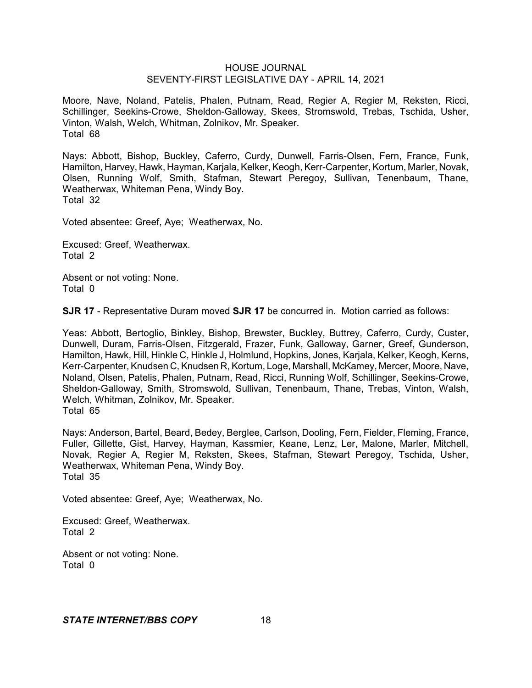Moore, Nave, Noland, Patelis, Phalen, Putnam, Read, Regier A, Regier M, Reksten, Ricci, Schillinger, Seekins-Crowe, Sheldon-Galloway, Skees, Stromswold, Trebas, Tschida, Usher, Vinton, Walsh, Welch, Whitman, Zolnikov, Mr. Speaker. Total 68

Nays: Abbott, Bishop, Buckley, Caferro, Curdy, Dunwell, Farris-Olsen, Fern, France, Funk, Hamilton, Harvey, Hawk, Hayman, Karjala, Kelker, Keogh, Kerr-Carpenter, Kortum, Marler, Novak, Olsen, Running Wolf, Smith, Stafman, Stewart Peregoy, Sullivan, Tenenbaum, Thane, Weatherwax, Whiteman Pena, Windy Boy. Total 32

Voted absentee: Greef, Aye; Weatherwax, No.

Excused: Greef, Weatherwax. Total 2

Absent or not voting: None. Total 0

**SJR 17** - Representative Duram moved **SJR 17** be concurred in. Motion carried as follows:

Yeas: Abbott, Bertoglio, Binkley, Bishop, Brewster, Buckley, Buttrey, Caferro, Curdy, Custer, Dunwell, Duram, Farris-Olsen, Fitzgerald, Frazer, Funk, Galloway, Garner, Greef, Gunderson, Hamilton, Hawk, Hill, Hinkle C, Hinkle J, Holmlund, Hopkins, Jones, Karjala, Kelker, Keogh, Kerns, Kerr-Carpenter, Knudsen C, Knudsen R, Kortum, Loge, Marshall, McKamey, Mercer, Moore, Nave, Noland, Olsen, Patelis, Phalen, Putnam, Read, Ricci, Running Wolf, Schillinger, Seekins-Crowe, Sheldon-Galloway, Smith, Stromswold, Sullivan, Tenenbaum, Thane, Trebas, Vinton, Walsh, Welch, Whitman, Zolnikov, Mr. Speaker. Total 65

Nays: Anderson, Bartel, Beard, Bedey, Berglee, Carlson, Dooling, Fern, Fielder, Fleming, France, Fuller, Gillette, Gist, Harvey, Hayman, Kassmier, Keane, Lenz, Ler, Malone, Marler, Mitchell, Novak, Regier A, Regier M, Reksten, Skees, Stafman, Stewart Peregoy, Tschida, Usher, Weatherwax, Whiteman Pena, Windy Boy. Total 35

Voted absentee: Greef, Aye; Weatherwax, No.

Excused: Greef, Weatherwax. Total 2

Absent or not voting: None. Total 0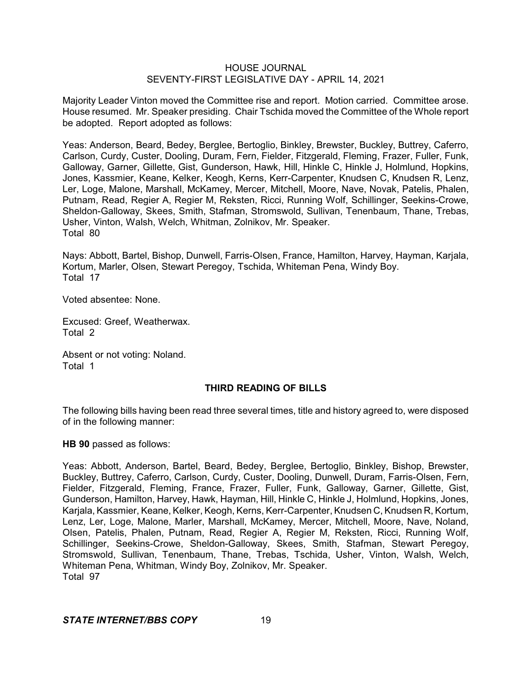Majority Leader Vinton moved the Committee rise and report. Motion carried. Committee arose. House resumed. Mr. Speaker presiding. Chair Tschida moved the Committee of the Whole report be adopted. Report adopted as follows:

Yeas: Anderson, Beard, Bedey, Berglee, Bertoglio, Binkley, Brewster, Buckley, Buttrey, Caferro, Carlson, Curdy, Custer, Dooling, Duram, Fern, Fielder, Fitzgerald, Fleming, Frazer, Fuller, Funk, Galloway, Garner, Gillette, Gist, Gunderson, Hawk, Hill, Hinkle C, Hinkle J, Holmlund, Hopkins, Jones, Kassmier, Keane, Kelker, Keogh, Kerns, Kerr-Carpenter, Knudsen C, Knudsen R, Lenz, Ler, Loge, Malone, Marshall, McKamey, Mercer, Mitchell, Moore, Nave, Novak, Patelis, Phalen, Putnam, Read, Regier A, Regier M, Reksten, Ricci, Running Wolf, Schillinger, Seekins-Crowe, Sheldon-Galloway, Skees, Smith, Stafman, Stromswold, Sullivan, Tenenbaum, Thane, Trebas, Usher, Vinton, Walsh, Welch, Whitman, Zolnikov, Mr. Speaker. Total 80

Nays: Abbott, Bartel, Bishop, Dunwell, Farris-Olsen, France, Hamilton, Harvey, Hayman, Karjala, Kortum, Marler, Olsen, Stewart Peregoy, Tschida, Whiteman Pena, Windy Boy. Total 17

Voted absentee: None.

Excused: Greef, Weatherwax. Total 2

Absent or not voting: Noland. Total 1

### **THIRD READING OF BILLS**

The following bills having been read three several times, title and history agreed to, were disposed of in the following manner:

**HB 90** passed as follows:

Yeas: Abbott, Anderson, Bartel, Beard, Bedey, Berglee, Bertoglio, Binkley, Bishop, Brewster, Buckley, Buttrey, Caferro, Carlson, Curdy, Custer, Dooling, Dunwell, Duram, Farris-Olsen, Fern, Fielder, Fitzgerald, Fleming, France, Frazer, Fuller, Funk, Galloway, Garner, Gillette, Gist, Gunderson, Hamilton, Harvey, Hawk, Hayman, Hill, Hinkle C, Hinkle J, Holmlund, Hopkins, Jones, Karjala, Kassmier, Keane, Kelker, Keogh, Kerns, Kerr-Carpenter, Knudsen C, Knudsen R, Kortum, Lenz, Ler, Loge, Malone, Marler, Marshall, McKamey, Mercer, Mitchell, Moore, Nave, Noland, Olsen, Patelis, Phalen, Putnam, Read, Regier A, Regier M, Reksten, Ricci, Running Wolf, Schillinger, Seekins-Crowe, Sheldon-Galloway, Skees, Smith, Stafman, Stewart Peregoy, Stromswold, Sullivan, Tenenbaum, Thane, Trebas, Tschida, Usher, Vinton, Walsh, Welch, Whiteman Pena, Whitman, Windy Boy, Zolnikov, Mr. Speaker. Total 97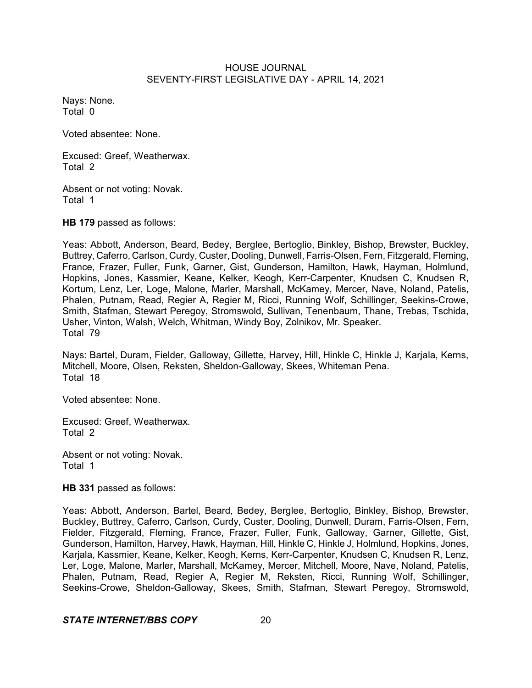Nays: None. Total 0

Voted absentee: None.

Excused: Greef, Weatherwax. Total 2

Absent or not voting: Novak. Total 1

**HB 179** passed as follows:

Yeas: Abbott, Anderson, Beard, Bedey, Berglee, Bertoglio, Binkley, Bishop, Brewster, Buckley, Buttrey, Caferro, Carlson, Curdy, Custer, Dooling, Dunwell, Farris-Olsen, Fern, Fitzgerald, Fleming, France, Frazer, Fuller, Funk, Garner, Gist, Gunderson, Hamilton, Hawk, Hayman, Holmlund, Hopkins, Jones, Kassmier, Keane, Kelker, Keogh, Kerr-Carpenter, Knudsen C, Knudsen R, Kortum, Lenz, Ler, Loge, Malone, Marler, Marshall, McKamey, Mercer, Nave, Noland, Patelis, Phalen, Putnam, Read, Regier A, Regier M, Ricci, Running Wolf, Schillinger, Seekins-Crowe, Smith, Stafman, Stewart Peregoy, Stromswold, Sullivan, Tenenbaum, Thane, Trebas, Tschida, Usher, Vinton, Walsh, Welch, Whitman, Windy Boy, Zolnikov, Mr. Speaker. Total 79

Nays: Bartel, Duram, Fielder, Galloway, Gillette, Harvey, Hill, Hinkle C, Hinkle J, Karjala, Kerns, Mitchell, Moore, Olsen, Reksten, Sheldon-Galloway, Skees, Whiteman Pena. Total 18

Voted absentee: None.

Excused: Greef, Weatherwax. Total 2

Absent or not voting: Novak. Total 1

**HB 331** passed as follows:

Yeas: Abbott, Anderson, Bartel, Beard, Bedey, Berglee, Bertoglio, Binkley, Bishop, Brewster, Buckley, Buttrey, Caferro, Carlson, Curdy, Custer, Dooling, Dunwell, Duram, Farris-Olsen, Fern, Fielder, Fitzgerald, Fleming, France, Frazer, Fuller, Funk, Galloway, Garner, Gillette, Gist, Gunderson, Hamilton, Harvey, Hawk, Hayman, Hill, Hinkle C, Hinkle J, Holmlund, Hopkins, Jones, Karjala, Kassmier, Keane, Kelker, Keogh, Kerns, Kerr-Carpenter, Knudsen C, Knudsen R, Lenz, Ler, Loge, Malone, Marler, Marshall, McKamey, Mercer, Mitchell, Moore, Nave, Noland, Patelis, Phalen, Putnam, Read, Regier A, Regier M, Reksten, Ricci, Running Wolf, Schillinger, Seekins-Crowe, Sheldon-Galloway, Skees, Smith, Stafman, Stewart Peregoy, Stromswold,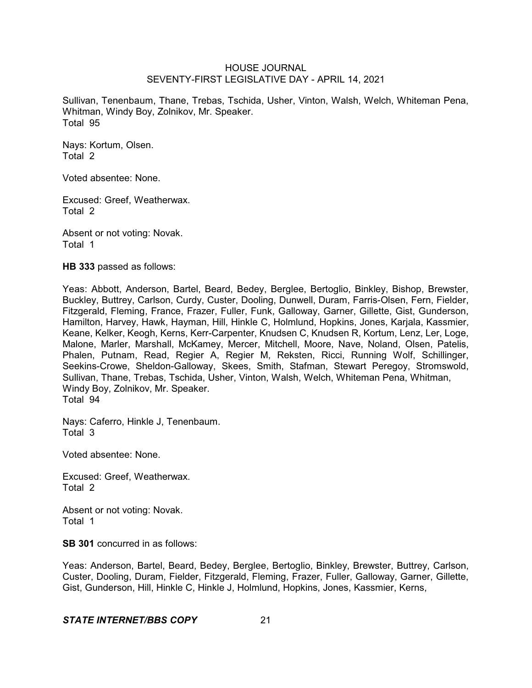Sullivan, Tenenbaum, Thane, Trebas, Tschida, Usher, Vinton, Walsh, Welch, Whiteman Pena, Whitman, Windy Boy, Zolnikov, Mr. Speaker. Total 95

Nays: Kortum, Olsen. Total 2

Voted absentee: None.

Excused: Greef, Weatherwax. Total 2

Absent or not voting: Novak. Total 1

**HB 333** passed as follows:

Yeas: Abbott, Anderson, Bartel, Beard, Bedey, Berglee, Bertoglio, Binkley, Bishop, Brewster, Buckley, Buttrey, Carlson, Curdy, Custer, Dooling, Dunwell, Duram, Farris-Olsen, Fern, Fielder, Fitzgerald, Fleming, France, Frazer, Fuller, Funk, Galloway, Garner, Gillette, Gist, Gunderson, Hamilton, Harvey, Hawk, Hayman, Hill, Hinkle C, Holmlund, Hopkins, Jones, Karjala, Kassmier, Keane, Kelker, Keogh, Kerns, Kerr-Carpenter, Knudsen C, Knudsen R, Kortum, Lenz, Ler, Loge, Malone, Marler, Marshall, McKamey, Mercer, Mitchell, Moore, Nave, Noland, Olsen, Patelis, Phalen, Putnam, Read, Regier A, Regier M, Reksten, Ricci, Running Wolf, Schillinger, Seekins-Crowe, Sheldon-Galloway, Skees, Smith, Stafman, Stewart Peregoy, Stromswold, Sullivan, Thane, Trebas, Tschida, Usher, Vinton, Walsh, Welch, Whiteman Pena, Whitman, Windy Boy, Zolnikov, Mr. Speaker. Total 94

Nays: Caferro, Hinkle J, Tenenbaum. Total 3

Voted absentee: None.

Excused: Greef, Weatherwax. Total 2

Absent or not voting: Novak. Total 1

**SB 301** concurred in as follows:

Yeas: Anderson, Bartel, Beard, Bedey, Berglee, Bertoglio, Binkley, Brewster, Buttrey, Carlson, Custer, Dooling, Duram, Fielder, Fitzgerald, Fleming, Frazer, Fuller, Galloway, Garner, Gillette, Gist, Gunderson, Hill, Hinkle C, Hinkle J, Holmlund, Hopkins, Jones, Kassmier, Kerns,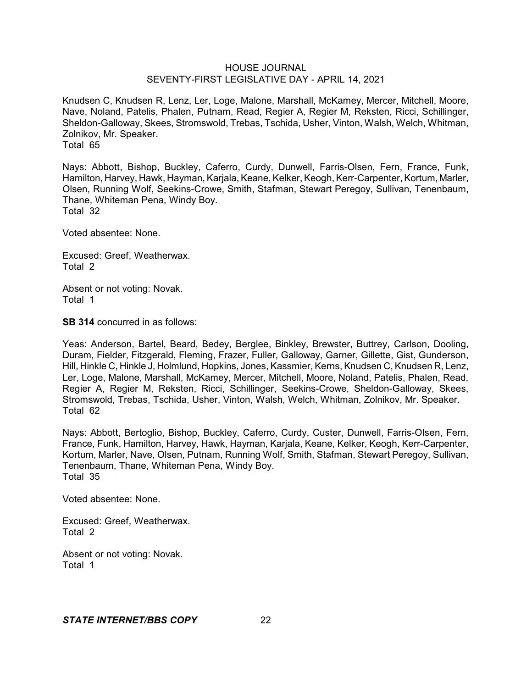Knudsen C, Knudsen R, Lenz, Ler, Loge, Malone, Marshall, McKamey, Mercer, Mitchell, Moore, Nave, Noland, Patelis, Phalen, Putnam, Read, Regier A, Regier M, Reksten, Ricci, Schillinger, Sheldon-Galloway, Skees, Stromswold, Trebas, Tschida, Usher, Vinton, Walsh, Welch, Whitman, Zolnikov, Mr. Speaker. Total 65

Nays: Abbott, Bishop, Buckley, Caferro, Curdy, Dunwell, Farris-Olsen, Fern, France, Funk, Hamilton, Harvey, Hawk, Hayman, Karjala, Keane, Kelker, Keogh, Kerr-Carpenter, Kortum, Marler, Olsen, Running Wolf, Seekins-Crowe, Smith, Stafman, Stewart Peregoy, Sullivan, Tenenbaum, Thane, Whiteman Pena, Windy Boy. Total 32

Voted absentee: None.

Excused: Greef, Weatherwax. Total 2

Absent or not voting: Novak. Total 1

**SB 314** concurred in as follows:

Yeas: Anderson, Bartel, Beard, Bedey, Berglee, Binkley, Brewster, Buttrey, Carlson, Dooling, Duram, Fielder, Fitzgerald, Fleming, Frazer, Fuller, Galloway, Garner, Gillette, Gist, Gunderson, Hill, Hinkle C, Hinkle J, Holmlund, Hopkins, Jones, Kassmier, Kerns, Knudsen C, Knudsen R, Lenz, Ler, Loge, Malone, Marshall, McKamey, Mercer, Mitchell, Moore, Noland, Patelis, Phalen, Read, Regier A, Regier M, Reksten, Ricci, Schillinger, Seekins-Crowe, Sheldon-Galloway, Skees, Stromswold, Trebas, Tschida, Usher, Vinton, Walsh, Welch, Whitman, Zolnikov, Mr. Speaker. Total 62

Nays: Abbott, Bertoglio, Bishop, Buckley, Caferro, Curdy, Custer, Dunwell, Farris-Olsen, Fern, France, Funk, Hamilton, Harvey, Hawk, Hayman, Karjala, Keane, Kelker, Keogh, Kerr-Carpenter, Kortum, Marler, Nave, Olsen, Putnam, Running Wolf, Smith, Stafman, Stewart Peregoy, Sullivan, Tenenbaum, Thane, Whiteman Pena, Windy Boy. Total 35

Voted absentee: None.

Excused: Greef, Weatherwax. Total 2

Absent or not voting: Novak. Total 1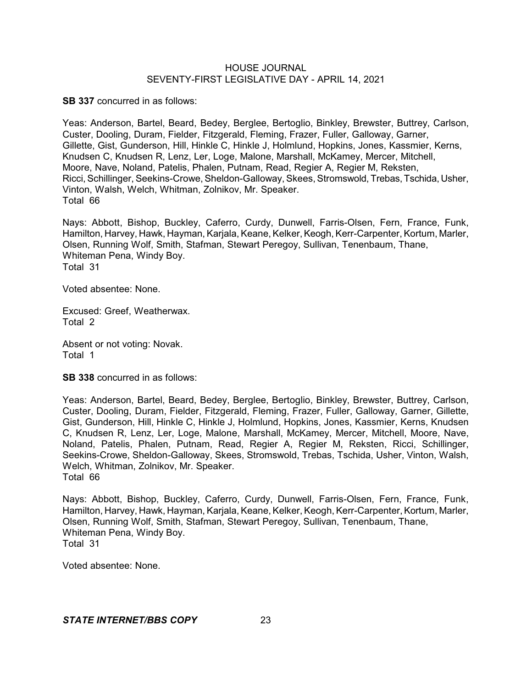**SB 337** concurred in as follows:

Yeas: Anderson, Bartel, Beard, Bedey, Berglee, Bertoglio, Binkley, Brewster, Buttrey, Carlson, Custer, Dooling, Duram, Fielder, Fitzgerald, Fleming, Frazer, Fuller, Galloway, Garner, Gillette, Gist, Gunderson, Hill, Hinkle C, Hinkle J, Holmlund, Hopkins, Jones, Kassmier, Kerns, Knudsen C, Knudsen R, Lenz, Ler, Loge, Malone, Marshall, McKamey, Mercer, Mitchell, Moore, Nave, Noland, Patelis, Phalen, Putnam, Read, Regier A, Regier M, Reksten, Ricci,Schillinger, Seekins-Crowe, Sheldon-Galloway, Skees,Stromswold, Trebas, Tschida, Usher, Vinton, Walsh, Welch, Whitman, Zolnikov, Mr. Speaker. Total 66

Nays: Abbott, Bishop, Buckley, Caferro, Curdy, Dunwell, Farris-Olsen, Fern, France, Funk, Hamilton, Harvey, Hawk, Hayman, Karjala, Keane, Kelker, Keogh, Kerr-Carpenter, Kortum, Marler, Olsen, Running Wolf, Smith, Stafman, Stewart Peregoy, Sullivan, Tenenbaum, Thane, Whiteman Pena, Windy Boy. Total 31

Voted absentee: None.

Excused: Greef, Weatherwax. Total 2

Absent or not voting: Novak. Total 1

**SB 338** concurred in as follows:

Yeas: Anderson, Bartel, Beard, Bedey, Berglee, Bertoglio, Binkley, Brewster, Buttrey, Carlson, Custer, Dooling, Duram, Fielder, Fitzgerald, Fleming, Frazer, Fuller, Galloway, Garner, Gillette, Gist, Gunderson, Hill, Hinkle C, Hinkle J, Holmlund, Hopkins, Jones, Kassmier, Kerns, Knudsen C, Knudsen R, Lenz, Ler, Loge, Malone, Marshall, McKamey, Mercer, Mitchell, Moore, Nave, Noland, Patelis, Phalen, Putnam, Read, Regier A, Regier M, Reksten, Ricci, Schillinger, Seekins-Crowe, Sheldon-Galloway, Skees, Stromswold, Trebas, Tschida, Usher, Vinton, Walsh, Welch, Whitman, Zolnikov, Mr. Speaker. Total 66

Nays: Abbott, Bishop, Buckley, Caferro, Curdy, Dunwell, Farris-Olsen, Fern, France, Funk, Hamilton, Harvey, Hawk, Hayman, Karjala, Keane, Kelker, Keogh, Kerr-Carpenter, Kortum, Marler, Olsen, Running Wolf, Smith, Stafman, Stewart Peregoy, Sullivan, Tenenbaum, Thane, Whiteman Pena, Windy Boy. Total 31

Voted absentee: None.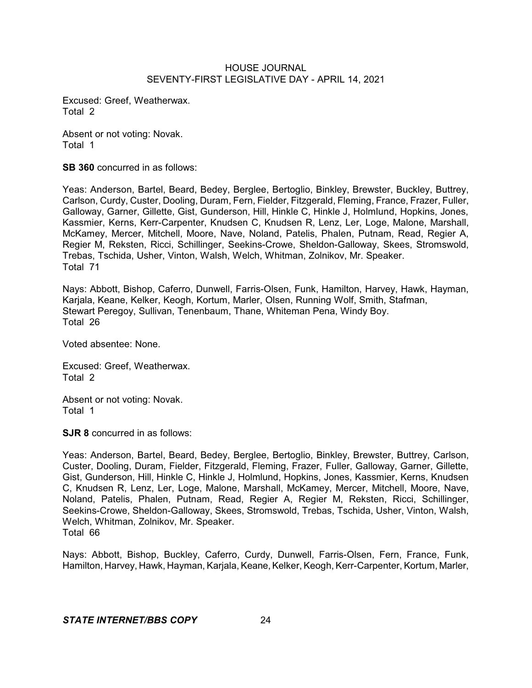Excused: Greef, Weatherwax. Total 2

Absent or not voting: Novak. Total 1

**SB 360** concurred in as follows:

Yeas: Anderson, Bartel, Beard, Bedey, Berglee, Bertoglio, Binkley, Brewster, Buckley, Buttrey, Carlson, Curdy, Custer, Dooling, Duram, Fern, Fielder, Fitzgerald, Fleming, France, Frazer, Fuller, Galloway, Garner, Gillette, Gist, Gunderson, Hill, Hinkle C, Hinkle J, Holmlund, Hopkins, Jones, Kassmier, Kerns, Kerr-Carpenter, Knudsen C, Knudsen R, Lenz, Ler, Loge, Malone, Marshall, McKamey, Mercer, Mitchell, Moore, Nave, Noland, Patelis, Phalen, Putnam, Read, Regier A, Regier M, Reksten, Ricci, Schillinger, Seekins-Crowe, Sheldon-Galloway, Skees, Stromswold, Trebas, Tschida, Usher, Vinton, Walsh, Welch, Whitman, Zolnikov, Mr. Speaker. Total 71

Nays: Abbott, Bishop, Caferro, Dunwell, Farris-Olsen, Funk, Hamilton, Harvey, Hawk, Hayman, Karjala, Keane, Kelker, Keogh, Kortum, Marler, Olsen, Running Wolf, Smith, Stafman, Stewart Peregoy, Sullivan, Tenenbaum, Thane, Whiteman Pena, Windy Boy. Total 26

Voted absentee: None.

Excused: Greef, Weatherwax. Total 2

Absent or not voting: Novak. Total 1

**SJR 8** concurred in as follows:

Yeas: Anderson, Bartel, Beard, Bedey, Berglee, Bertoglio, Binkley, Brewster, Buttrey, Carlson, Custer, Dooling, Duram, Fielder, Fitzgerald, Fleming, Frazer, Fuller, Galloway, Garner, Gillette, Gist, Gunderson, Hill, Hinkle C, Hinkle J, Holmlund, Hopkins, Jones, Kassmier, Kerns, Knudsen C, Knudsen R, Lenz, Ler, Loge, Malone, Marshall, McKamey, Mercer, Mitchell, Moore, Nave, Noland, Patelis, Phalen, Putnam, Read, Regier A, Regier M, Reksten, Ricci, Schillinger, Seekins-Crowe, Sheldon-Galloway, Skees, Stromswold, Trebas, Tschida, Usher, Vinton, Walsh, Welch, Whitman, Zolnikov, Mr. Speaker. Total 66

Nays: Abbott, Bishop, Buckley, Caferro, Curdy, Dunwell, Farris-Olsen, Fern, France, Funk, Hamilton, Harvey, Hawk, Hayman, Karjala, Keane,Kelker, Keogh, Kerr-Carpenter, Kortum, Marler,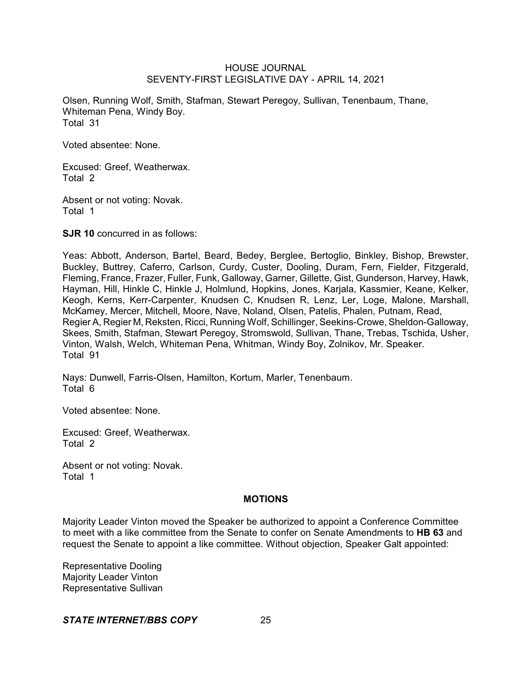Olsen, Running Wolf, Smith, Stafman, Stewart Peregoy, Sullivan, Tenenbaum, Thane, Whiteman Pena, Windy Boy. Total 31

Voted absentee: None.

Excused: Greef, Weatherwax. Total 2

Absent or not voting: Novak. Total 1

**SJR 10** concurred in as follows:

Yeas: Abbott, Anderson, Bartel, Beard, Bedey, Berglee, Bertoglio, Binkley, Bishop, Brewster, Buckley, Buttrey, Caferro, Carlson, Curdy, Custer, Dooling, Duram, Fern, Fielder, Fitzgerald, Fleming, France, Frazer, Fuller, Funk, Galloway, Garner, Gillette, Gist, Gunderson, Harvey, Hawk, Hayman, Hill, Hinkle C, Hinkle J, Holmlund, Hopkins, Jones, Karjala, Kassmier, Keane, Kelker, Keogh, Kerns, Kerr-Carpenter, Knudsen C, Knudsen R, Lenz, Ler, Loge, Malone, Marshall, McKamey, Mercer, Mitchell, Moore, Nave, Noland, Olsen, Patelis, Phalen, Putnam, Read, Regier A, Regier M, Reksten, Ricci, Running Wolf, Schillinger, Seekins-Crowe, Sheldon-Galloway, Skees, Smith, Stafman, Stewart Peregoy, Stromswold, Sullivan, Thane, Trebas, Tschida, Usher, Vinton, Walsh, Welch, Whiteman Pena, Whitman, Windy Boy, Zolnikov, Mr. Speaker. Total 91

Nays: Dunwell, Farris-Olsen, Hamilton, Kortum, Marler, Tenenbaum. Total 6

Voted absentee: None.

Excused: Greef, Weatherwax. Total 2

Absent or not voting: Novak. Total 1

### **MOTIONS**

Majority Leader Vinton moved the Speaker be authorized to appoint a Conference Committee to meet with a like committee from the Senate to confer on Senate Amendments to **HB 63** and request the Senate to appoint a like committee. Without objection, Speaker Galt appointed:

Representative Dooling Majority Leader Vinton Representative Sullivan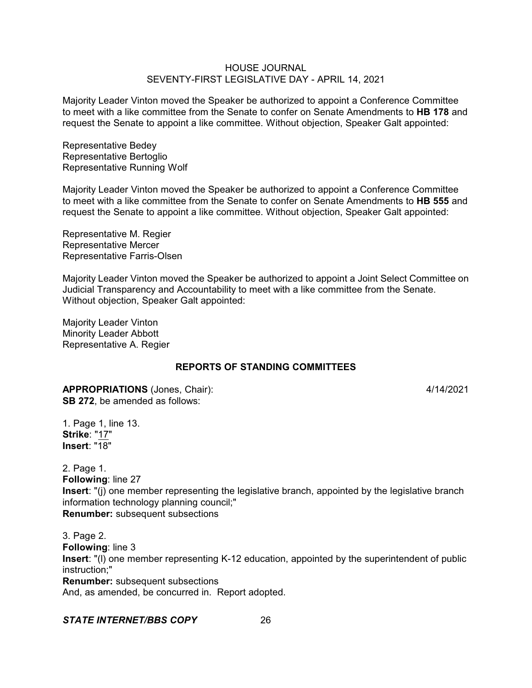Majority Leader Vinton moved the Speaker be authorized to appoint a Conference Committee to meet with a like committee from the Senate to confer on Senate Amendments to **HB 178** and request the Senate to appoint a like committee. Without objection, Speaker Galt appointed:

Representative Bedey Representative Bertoglio Representative Running Wolf

Majority Leader Vinton moved the Speaker be authorized to appoint a Conference Committee to meet with a like committee from the Senate to confer on Senate Amendments to **HB 555** and request the Senate to appoint a like committee. Without objection, Speaker Galt appointed:

Representative M. Regier Representative Mercer Representative Farris-Olsen

Majority Leader Vinton moved the Speaker be authorized to appoint a Joint Select Committee on Judicial Transparency and Accountability to meet with a like committee from the Senate. Without objection, Speaker Galt appointed:

Majority Leader Vinton Minority Leader Abbott Representative A. Regier

# **REPORTS OF STANDING COMMITTEES**

**APPROPRIATIONS** (Jones, Chair): 4/14/2021 **SB 272**, be amended as follows:

1. Page 1, line 13. **Strike**: "17" **Insert**: "18"

2. Page 1. **Following**: line 27 **Insert**: "(j) one member representing the legislative branch, appointed by the legislative branch information technology planning council;" **Renumber:** subsequent subsections

3. Page 2. **Following**: line 3 **Insert**: "(l) one member representing K-12 education, appointed by the superintendent of public instruction;" **Renumber:** subsequent subsections And, as amended, be concurred in. Report adopted.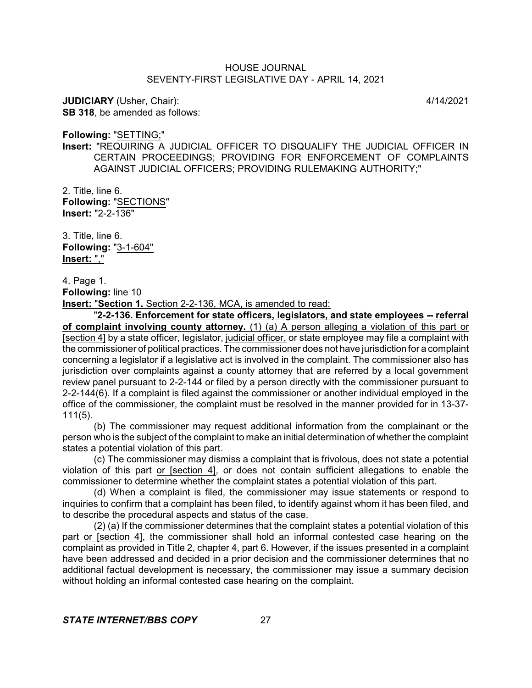**JUDICIARY** (Usher, Chair): 4/14/2021 **SB 318**, be amended as follows:

**Following:** "SETTING;"

**Insert:** "REQUIRING A JUDICIAL OFFICER TO DISQUALIFY THE JUDICIAL OFFICER IN CERTAIN PROCEEDINGS; PROVIDING FOR ENFORCEMENT OF COMPLAINTS AGAINST JUDICIAL OFFICERS; PROVIDING RULEMAKING AUTHORITY;"

2. Title, line 6. **Following:** "SECTIONS" **Insert:** "2-2-136"

3. Title, line 6. **Following:** "3-1-604" **Insert:** ","

4. Page 1.

**Following:** line 10

**Insert:** "**Section 1.** Section 2-2-136, MCA, is amended to read:

"**2-2-136. Enforcement for state officers, legislators, and state employees -- referral of complaint involving county attorney.** (1) (a) A person alleging a violation of this part or [section 4] by a state officer, legislator, judicial officer, or state employee may file a complaint with the commissioner of political practices. The commissioner does not have jurisdiction for a complaint concerning a legislator if a legislative act is involved in the complaint. The commissioner also has jurisdiction over complaints against a county attorney that are referred by a local government review panel pursuant to 2-2-144 or filed by a person directly with the commissioner pursuant to 2-2-144(6). If a complaint is filed against the commissioner or another individual employed in the office of the commissioner, the complaint must be resolved in the manner provided for in 13-37- 111(5).

(b) The commissioner may request additional information from the complainant or the person who is the subject of the complaint to make an initial determination of whether the complaint states a potential violation of this part.

(c) The commissioner may dismiss a complaint that is frivolous, does not state a potential violation of this part or [section 4], or does not contain sufficient allegations to enable the commissioner to determine whether the complaint states a potential violation of this part.

(d) When a complaint is filed, the commissioner may issue statements or respond to inquiries to confirm that a complaint has been filed, to identify against whom it has been filed, and to describe the procedural aspects and status of the case.

(2) (a) If the commissioner determines that the complaint states a potential violation of this part or [section 4], the commissioner shall hold an informal contested case hearing on the complaint as provided in Title 2, chapter 4, part 6. However, if the issues presented in a complaint have been addressed and decided in a prior decision and the commissioner determines that no additional factual development is necessary, the commissioner may issue a summary decision without holding an informal contested case hearing on the complaint.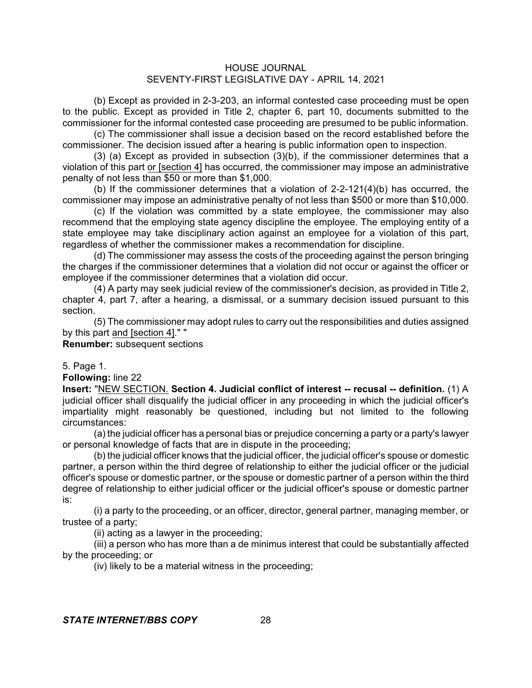(b) Except as provided in 2-3-203, an informal contested case proceeding must be open to the public. Except as provided in Title 2, chapter 6, part 10, documents submitted to the commissioner for the informal contested case proceeding are presumed to be public information.

(c) The commissioner shall issue a decision based on the record established before the commissioner. The decision issued after a hearing is public information open to inspection.

(3) (a) Except as provided in subsection (3)(b), if the commissioner determines that a violation of this part or [section 4] has occurred, the commissioner may impose an administrative penalty of not less than \$50 or more than \$1,000.

(b) If the commissioner determines that a violation of 2-2-121(4)(b) has occurred, the commissioner may impose an administrative penalty of not less than \$500 or more than \$10,000.

(c) If the violation was committed by a state employee, the commissioner may also recommend that the employing state agency discipline the employee. The employing entity of a state employee may take disciplinary action against an employee for a violation of this part, regardless of whether the commissioner makes a recommendation for discipline.

(d) The commissioner may assess the costs of the proceeding against the person bringing the charges if the commissioner determines that a violation did not occur or against the officer or employee if the commissioner determines that a violation did occur.

(4) A party may seek judicial review of the commissioner's decision, as provided in Title 2, chapter 4, part 7, after a hearing, a dismissal, or a summary decision issued pursuant to this section.

(5) The commissioner may adopt rules to carry out the responsibilities and duties assigned by this part and [section 4]." "

**Renumber:** subsequent sections

5. Page 1.

**Following:** line 22

**Insert:** "NEW SECTION. **Section 4. Judicial conflict of interest -- recusal -- definition.** (1) A judicial officer shall disqualify the judicial officer in any proceeding in which the judicial officer's impartiality might reasonably be questioned, including but not limited to the following circumstances:

(a) the judicial officer has a personal bias or prejudice concerning a party or a party's lawyer or personal knowledge of facts that are in dispute in the proceeding;

(b) the judicial officer knows that the judicial officer, the judicial officer's spouse or domestic partner, a person within the third degree of relationship to either the judicial officer or the judicial officer's spouse or domestic partner, or the spouse or domestic partner of a person within the third degree of relationship to either judicial officer or the judicial officer's spouse or domestic partner is:

(i) a party to the proceeding, or an officer, director, general partner, managing member, or trustee of a party;

(ii) acting as a lawyer in the proceeding;

(iii) a person who has more than a de minimus interest that could be substantially affected by the proceeding; or

(iv) likely to be a material witness in the proceeding;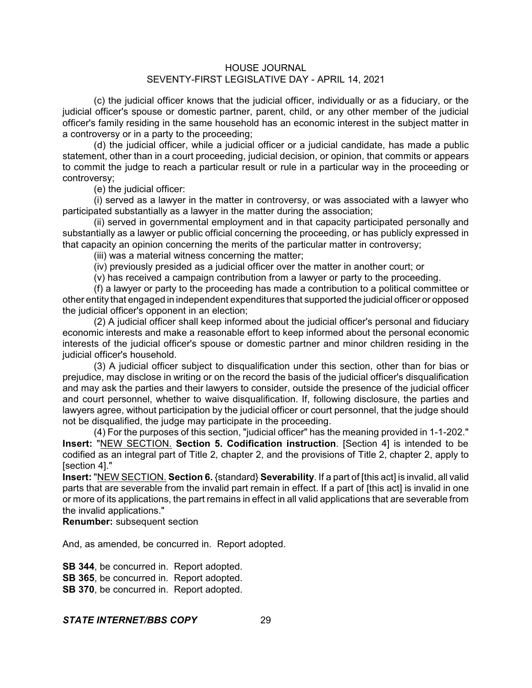(c) the judicial officer knows that the judicial officer, individually or as a fiduciary, or the judicial officer's spouse or domestic partner, parent, child, or any other member of the judicial officer's family residing in the same household has an economic interest in the subject matter in a controversy or in a party to the proceeding;

(d) the judicial officer, while a judicial officer or a judicial candidate, has made a public statement, other than in a court proceeding, judicial decision, or opinion, that commits or appears to commit the judge to reach a particular result or rule in a particular way in the proceeding or controversy;

(e) the judicial officer:

(i) served as a lawyer in the matter in controversy, or was associated with a lawyer who participated substantially as a lawyer in the matter during the association;

(ii) served in governmental employment and in that capacity participated personally and substantially as a lawyer or public official concerning the proceeding, or has publicly expressed in that capacity an opinion concerning the merits of the particular matter in controversy;

(iii) was a material witness concerning the matter;

(iv) previously presided as a judicial officer over the matter in another court; or

(v) has received a campaign contribution from a lawyer or party to the proceeding.

(f) a lawyer or party to the proceeding has made a contribution to a political committee or other entity that engaged in independent expenditures that supported the judicial officer or opposed the judicial officer's opponent in an election;

(2) A judicial officer shall keep informed about the judicial officer's personal and fiduciary economic interests and make a reasonable effort to keep informed about the personal economic interests of the judicial officer's spouse or domestic partner and minor children residing in the judicial officer's household.

(3) A judicial officer subject to disqualification under this section, other than for bias or prejudice, may disclose in writing or on the record the basis of the judicial officer's disqualification and may ask the parties and their lawyers to consider, outside the presence of the judicial officer and court personnel, whether to waive disqualification. If, following disclosure, the parties and lawyers agree, without participation by the judicial officer or court personnel, that the judge should not be disqualified, the judge may participate in the proceeding.

(4) For the purposes of this section, "judicial officer" has the meaning provided in 1-1-202." **Insert:** "NEW SECTION. **Section 5. Codification instruction**. [Section 4] is intended to be codified as an integral part of Title 2, chapter 2, and the provisions of Title 2, chapter 2, apply to [section 4]."

**Insert:** "NEW SECTION. **Section 6.** {standard} **Severability**. If a part of [this act] is invalid, all valid parts that are severable from the invalid part remain in effect. If a part of [this act] is invalid in one or more of its applications, the part remains in effect in all valid applications that are severable from the invalid applications."

**Renumber:** subsequent section

And, as amended, be concurred in. Report adopted.

**SB 344**, be concurred in. Report adopted. **SB 365**, be concurred in. Report adopted. **SB 370**, be concurred in. Report adopted.